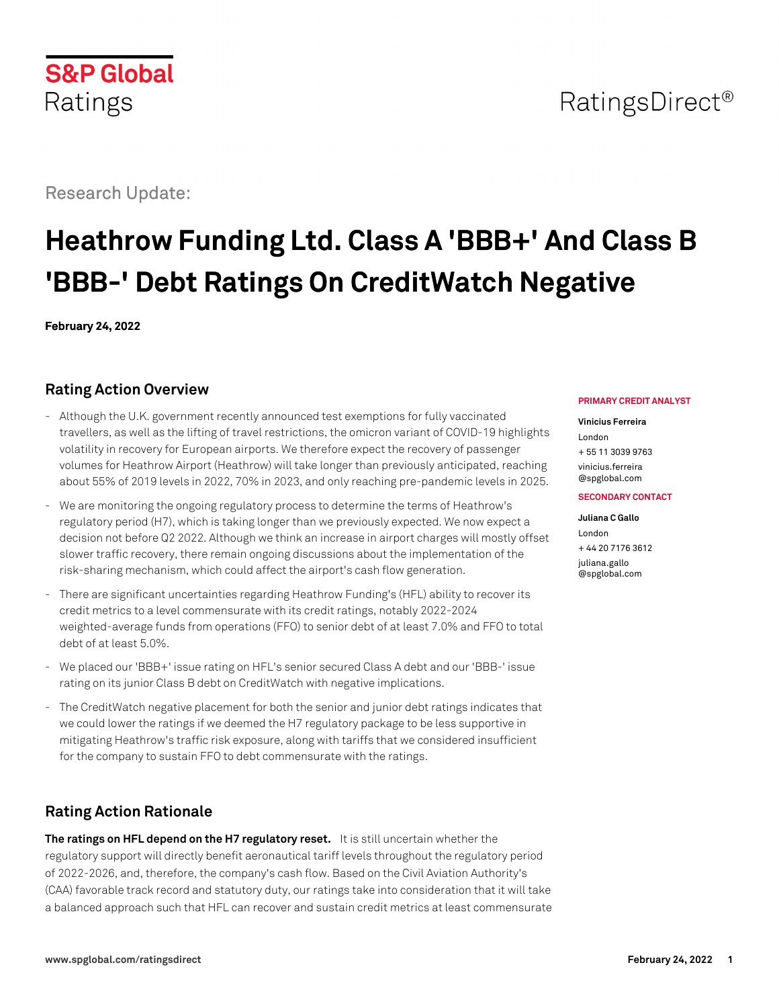# RatingsDirect<sup>®</sup>

Research Update:

# **Heathrow Funding Ltd. Class A 'BBB+' And Class B 'BBB-' Debt Ratings On CreditWatch Negative**

**February 24, 2022**

# **Rating Action Overview**

- Although the U.K. government recently announced test exemptions for fully vaccinated travellers, as well as the lifting of travel restrictions, the omicron variant of COVID-19 highlights volatility in recovery for European airports. We therefore expect the recovery of passenger volumes for Heathrow Airport (Heathrow) will take longer than previously anticipated, reaching about 55% of 2019 levels in 2022, 70% in 2023, and only reaching pre-pandemic levels in 2025.
- We are monitoring the ongoing regulatory process to determine the terms of Heathrow's regulatory period (H7), which is taking longer than we previously expected. We now expect a decision not before Q2 2022. Although we think an increase in airport charges will mostly offset slower traffic recovery, there remain ongoing discussions about the implementation of the risk-sharing mechanism, which could affect the airport's cash flow generation.
- There are significant uncertainties regarding Heathrow Funding's (HFL) ability to recover its credit metrics to a level commensurate with its credit ratings, notably 2022-2024 weighted-average funds from operations (FFO) to senior debt of at least 7.0% and FFO to total debt of at least 5.0%.
- We placed our 'BBB+' issue rating on HFL's senior secured Class A debt and our 'BBB-' issue rating on its junior Class B debt on CreditWatch with negative implications.
- The CreditWatch negative placement for both the senior and junior debt ratings indicates that we could lower the ratings if we deemed the H7 regulatory package to be less supportive in mitigating Heathrow's traffic risk exposure, along with tariffs that we considered insufficient for the company to sustain FFO to debt commensurate with the ratings.

# **Rating Action Rationale**

**The ratings on HFL depend on the H7 regulatory reset.** It is still uncertain whether the regulatory support will directly benefit aeronautical tariff levels throughout the regulatory period of 2022-2026, and, therefore, the company's cash flow. Based on the Civil Aviation Authority's (CAA) favorable track record and statutory duty, our ratings take into consideration that it will take a balanced approach such that HFL can recover and sustain credit metrics at least commensurate

### **PRIMARY CREDIT ANALYST**

#### **Vinicius Ferreira**

London + 55 11 3039 9763 [vinicius.ferreira](mailto:vinicius.ferreira@spglobal.com)

[@spglobal.com](mailto:vinicius.ferreira@spglobal.com)

### **SECONDARY CONTACT**

**Juliana C Gallo** London + 44 20 7176 3612 [juliana.gallo](mailto:juliana.gallo@spglobal.com) [@spglobal.com](mailto:juliana.gallo@spglobal.com)

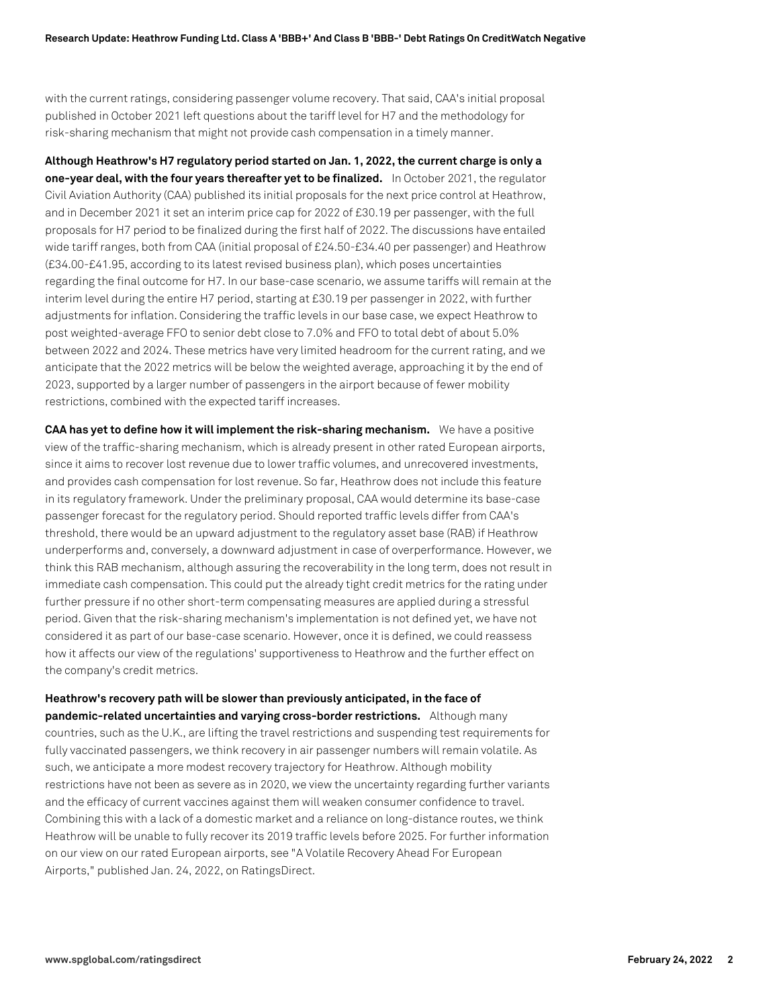with the current ratings, considering passenger volume recovery. That said, CAA's initial proposal published in October 2021 left questions about the tariff level for H7 and the methodology for risk-sharing mechanism that might not provide cash compensation in a timely manner.

**Although Heathrow's H7 regulatory period started on Jan. 1, 2022, the current charge is only a one-year deal, with the four years thereafter yet to be finalized.** In October 2021, the regulator Civil Aviation Authority (CAA) published its initial proposals for the next price control at Heathrow, and in December 2021 it set an interim price cap for 2022 of £30.19 per passenger, with the full proposals for H7 period to be finalized during the first half of 2022. The discussions have entailed wide tariff ranges, both from CAA (initial proposal of £24.50-£34.40 per passenger) and Heathrow (£34.00-£41.95, according to its latest revised business plan), which poses uncertainties regarding the final outcome for H7. In our base-case scenario, we assume tariffs will remain at the interim level during the entire H7 period, starting at £30.19 per passenger in 2022, with further adjustments for inflation. Considering the traffic levels in our base case, we expect Heathrow to post weighted-average FFO to senior debt close to 7.0% and FFO to total debt of about 5.0% between 2022 and 2024. These metrics have very limited headroom for the current rating, and we anticipate that the 2022 metrics will be below the weighted average, approaching it by the end of 2023, supported by a larger number of passengers in the airport because of fewer mobility restrictions, combined with the expected tariff increases.

**CAA has yet to define how it will implement the risk-sharing mechanism.** We have a positive view of the traffic-sharing mechanism, which is already present in other rated European airports, since it aims to recover lost revenue due to lower traffic volumes, and unrecovered investments, and provides cash compensation for lost revenue. So far, Heathrow does not include this feature in its regulatory framework. Under the preliminary proposal, CAA would determine its base-case passenger forecast for the regulatory period. Should reported traffic levels differ from CAA's threshold, there would be an upward adjustment to the regulatory asset base (RAB) if Heathrow underperforms and, conversely, a downward adjustment in case of overperformance. However, we think this RAB mechanism, although assuring the recoverability in the long term, does not result in immediate cash compensation. This could put the already tight credit metrics for the rating under further pressure if no other short-term compensating measures are applied during a stressful period. Given that the risk-sharing mechanism's implementation is not defined yet, we have not considered it as part of our base-case scenario. However, once it is defined, we could reassess how it affects our view of the regulations' supportiveness to Heathrow and the further effect on the company's credit metrics.

**Heathrow's recovery path will be slower than previously anticipated, in the face of pandemic-related uncertainties and varying cross-border restrictions.** Although many countries, such as the U.K., are lifting the travel restrictions and suspending test requirements for fully vaccinated passengers, we think recovery in air passenger numbers will remain volatile. As such, we anticipate a more modest recovery trajectory for Heathrow. Although mobility restrictions have not been as severe as in 2020, we view the uncertainty regarding further variants and the efficacy of current vaccines against them will weaken consumer confidence to travel. Combining this with a lack of a domestic market and a reliance on long-distance routes, we think Heathrow will be unable to fully recover its 2019 traffic levels before 2025. For further information on our view on our rated European airports, see "A Volatile Recovery Ahead For European Airports," published Jan. 24, 2022, on RatingsDirect.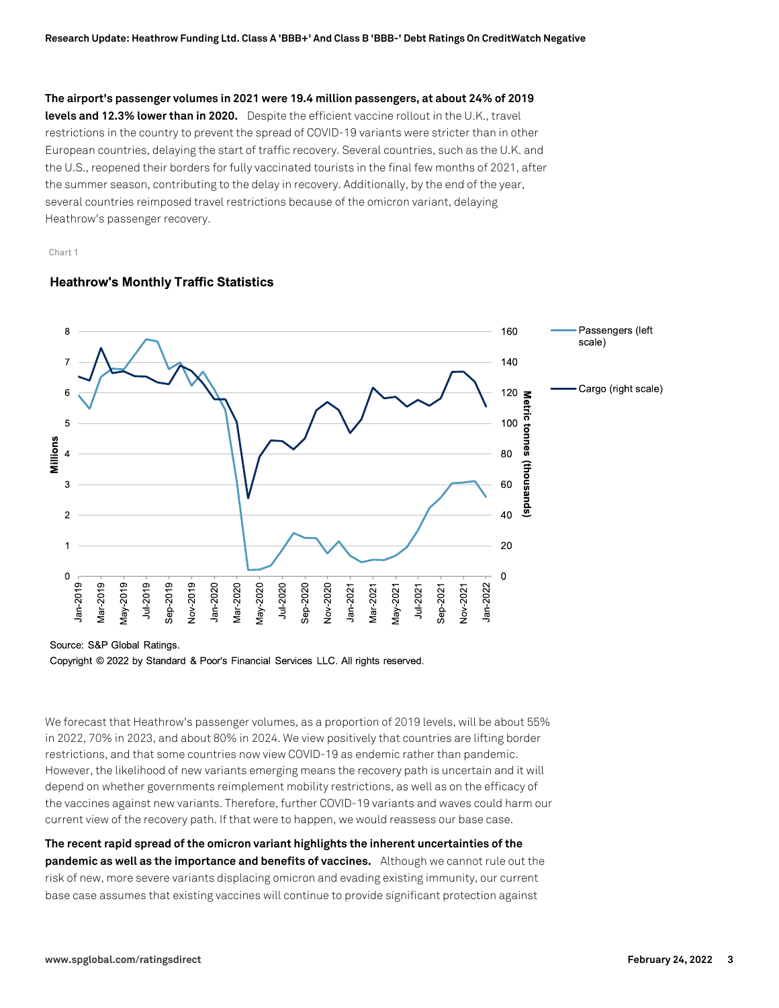**The airport's passenger volumes in 2021 were 19.4 million passengers, at about 24% of 2019 levels and 12.3% lower than in 2020.** Despite the efficient vaccine rollout in the U.K., travel restrictions in the country to prevent the spread of COVID-19 variants were stricter than in other European countries, delaying the start of traffic recovery. Several countries, such as the U.K. and the U.S., reopened their borders for fully vaccinated tourists in the final few months of 2021, after the summer season, contributing to the delay in recovery. Additionally, by the end of the year, several countries reimposed travel restrictions because of the omicron variant, delaying Heathrow's passenger recovery.

Chart 1

### **Heathrow's Monthly Traffic Statistics**



Source: S&P Global Ratings.

Copyright © 2022 by Standard & Poor's Financial Services LLC. All rights reserved.

We forecast that Heathrow's passenger volumes, as a proportion of 2019 levels, will be about 55% in 2022, 70% in 2023, and about 80% in 2024. We view positively that countries are lifting border restrictions, and that some countries now view COVID-19 as endemic rather than pandemic. However, the likelihood of new variants emerging means the recovery path is uncertain and it will depend on whether governments reimplement mobility restrictions, as well as on the efficacy of the vaccines against new variants. Therefore, further COVID-19 variants and waves could harm our current view of the recovery path. If that were to happen, we would reassess our base case.

**The recent rapid spread of the omicron variant highlights the inherent uncertainties of the pandemic as well as the importance and benefits of vaccines.** Although we cannot rule out the risk of new, more severe variants displacing omicron and evading existing immunity, our current base case assumes that existing vaccines will continue to provide significant protection against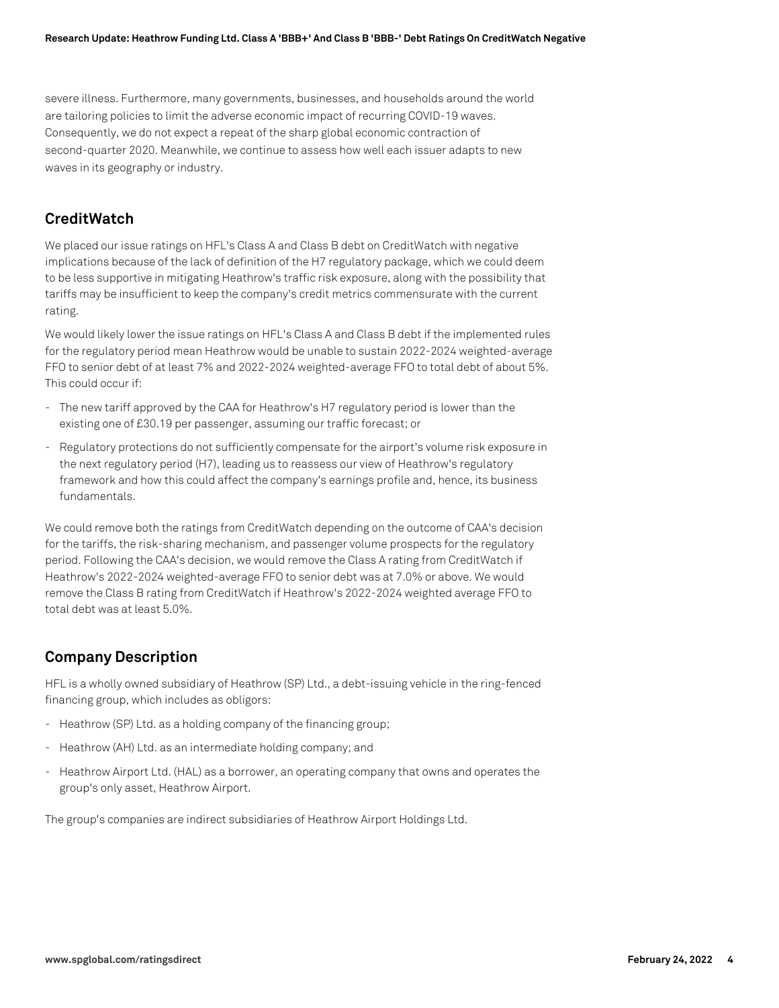severe illness. Furthermore, many governments, businesses, and households around the world are tailoring policies to limit the adverse economic impact of recurring COVID-19 waves. Consequently, we do not expect a repeat of the sharp global economic contraction of second-quarter 2020. Meanwhile, we continue to assess how well each issuer adapts to new waves in its geography or industry.

# **CreditWatch**

We placed our issue ratings on HFL's Class A and Class B debt on CreditWatch with negative implications because of the lack of definition of the H7 regulatory package, which we could deem to be less supportive in mitigating Heathrow's traffic risk exposure, along with the possibility that tariffs may be insufficient to keep the company's credit metrics commensurate with the current rating.

We would likely lower the issue ratings on HFL's Class A and Class B debt if the implemented rules for the regulatory period mean Heathrow would be unable to sustain 2022-2024 weighted-average FFO to senior debt of at least 7% and 2022-2024 weighted-average FFO to total debt of about 5%. This could occur if:

- The new tariff approved by the CAA for Heathrow's H7 regulatory period is lower than the existing one of £30.19 per passenger, assuming our traffic forecast; or
- Regulatory protections do not sufficiently compensate for the airport's volume risk exposure in the next regulatory period (H7), leading us to reassess our view of Heathrow's regulatory framework and how this could affect the company's earnings profile and, hence, its business fundamentals.

We could remove both the ratings from CreditWatch depending on the outcome of CAA's decision for the tariffs, the risk-sharing mechanism, and passenger volume prospects for the regulatory period. Following the CAA's decision, we would remove the Class A rating from CreditWatch if Heathrow's 2022-2024 weighted-average FFO to senior debt was at 7.0% or above. We would remove the Class B rating from CreditWatch if Heathrow's 2022-2024 weighted average FFO to total debt was at least 5.0%.

# **Company Description**

HFL is a wholly owned subsidiary of Heathrow (SP) Ltd., a debt-issuing vehicle in the ring-fenced financing group, which includes as obligors:

- Heathrow (SP) Ltd. as a holding company of the financing group;
- Heathrow (AH) Ltd. as an intermediate holding company; and
- Heathrow Airport Ltd. (HAL) as a borrower, an operating company that owns and operates the group's only asset, Heathrow Airport.

The group's companies are indirect subsidiaries of Heathrow Airport Holdings Ltd.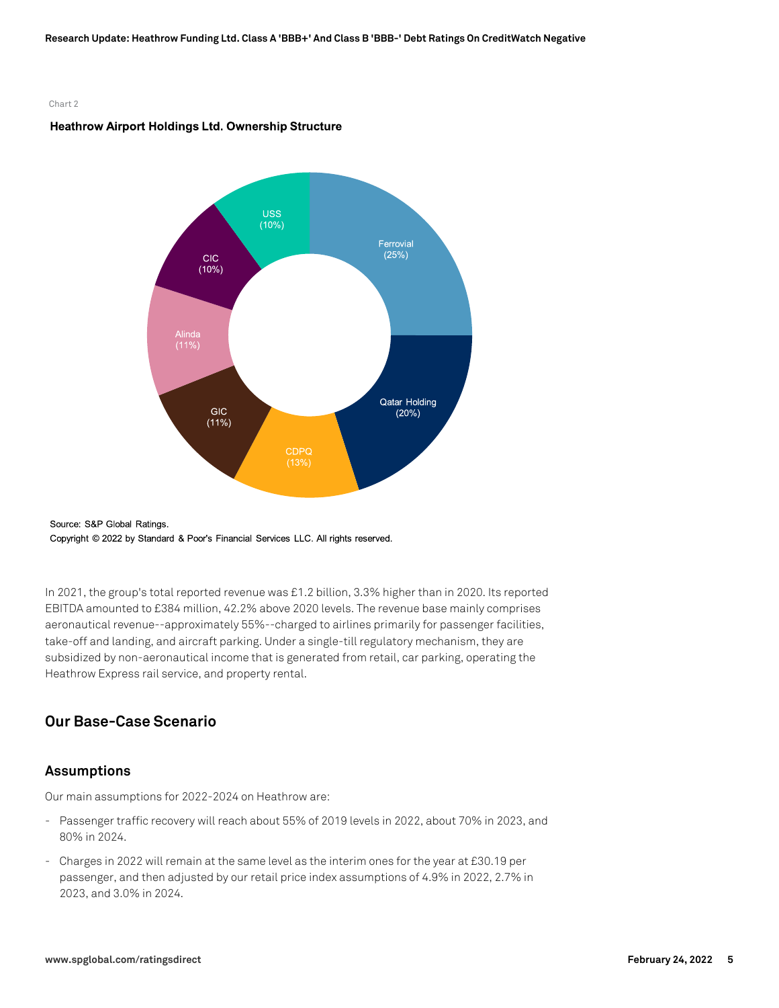#### Chart 2

### Heathrow Airport Holdings Ltd. Ownership Structure





In 2021, the group's total reported revenue was £1.2 billion, 3.3% higher than in 2020. Its reported EBITDA amounted to £384 million, 42.2% above 2020 levels. The revenue base mainly comprises aeronautical revenue--approximately 55%--charged to airlines primarily for passenger facilities, take-off and landing, and aircraft parking. Under a single-till regulatory mechanism, they are subsidized by non-aeronautical income that is generated from retail, car parking, operating the Heathrow Express rail service, and property rental.

# **Our Base-Case Scenario**

### **Assumptions**

Our main assumptions for 2022-2024 on Heathrow are:

- Passenger traffic recovery will reach about 55% of 2019 levels in 2022, about 70% in 2023, and 80% in 2024.
- Charges in 2022 will remain at the same level as the interim ones for the year at £30.19 per passenger, and then adjusted by our retail price index assumptions of 4.9% in 2022, 2.7% in 2023, and 3.0% in 2024.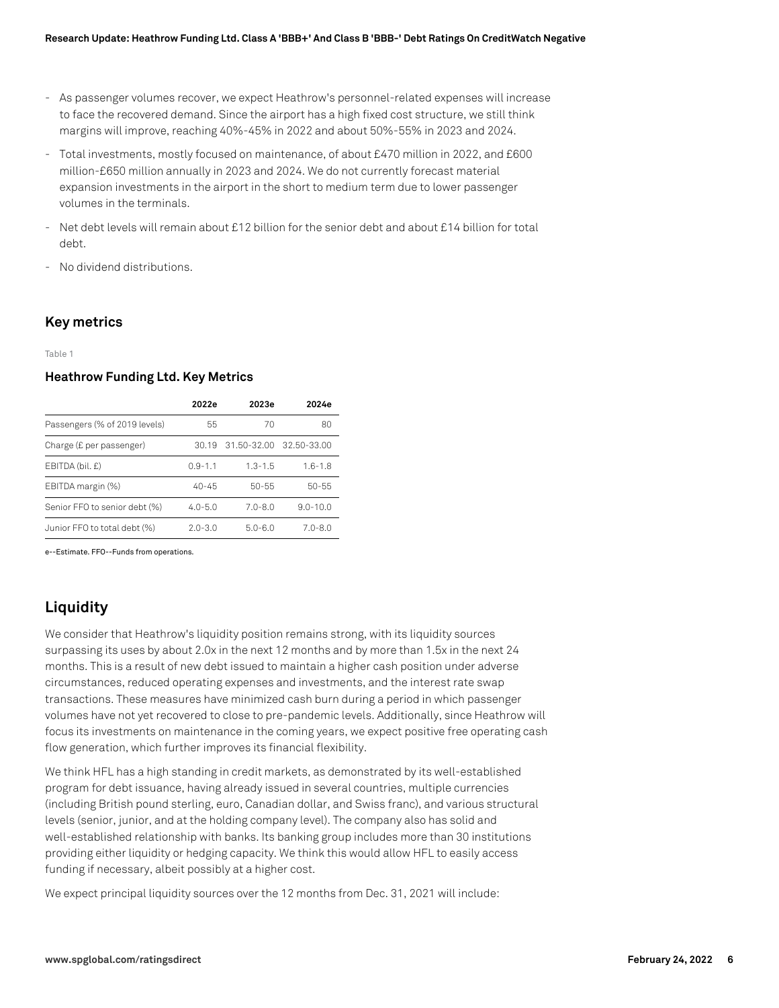- As passenger volumes recover, we expect Heathrow's personnel-related expenses will increase to face the recovered demand. Since the airport has a high fixed cost structure, we still think margins will improve, reaching 40%-45% in 2022 and about 50%-55% in 2023 and 2024.
- Total investments, mostly focused on maintenance, of about £470 million in 2022, and £600 million-£650 million annually in 2023 and 2024. We do not currently forecast material expansion investments in the airport in the short to medium term due to lower passenger volumes in the terminals.
- Net debt levels will remain about £12 billion for the senior debt and about £14 billion for total debt.
- No dividend distributions.

### **Key metrics**

Table 1

### **Heathrow Funding Ltd. Key Metrics**

|                               | 2022e       | 2023e       | 2024e        |
|-------------------------------|-------------|-------------|--------------|
| Passengers (% of 2019 levels) | 55          | 70          | 80           |
| Charge (£ per passenger)      | 30.19       | 31.50-32.00 | 32.50-33.00  |
| EBITDA (bil. £)               | $0.9 - 1.1$ | $1.3 - 1.5$ | $1.6 - 1.8$  |
| EBITDA margin (%)             | $40 - 45$   | $50 - 55$   | 50-55        |
| Senior FFO to senior debt (%) | $4.0 - 5.0$ | $7.0 - 8.0$ | $9.0 - 10.0$ |
| Junior FFO to total debt (%)  | $2.0 - 3.0$ | $5.0 - 6.0$ | $7.0 - 8.0$  |

e--Estimate. FFO--Funds from operations.

# **Liquidity**

We consider that Heathrow's liquidity position remains strong, with its liquidity sources surpassing its uses by about 2.0x in the next 12 months and by more than 1.5x in the next 24 months. This is a result of new debt issued to maintain a higher cash position under adverse circumstances, reduced operating expenses and investments, and the interest rate swap transactions. These measures have minimized cash burn during a period in which passenger volumes have not yet recovered to close to pre-pandemic levels. Additionally, since Heathrow will focus its investments on maintenance in the coming years, we expect positive free operating cash flow generation, which further improves its financial flexibility.

We think HFL has a high standing in credit markets, as demonstrated by its well-established program for debt issuance, having already issued in several countries, multiple currencies (including British pound sterling, euro, Canadian dollar, and Swiss franc), and various structural levels (senior, junior, and at the holding company level). The company also has solid and well-established relationship with banks. Its banking group includes more than 30 institutions providing either liquidity or hedging capacity. We think this would allow HFL to easily access funding if necessary, albeit possibly at a higher cost.

We expect principal liquidity sources over the 12 months from Dec. 31, 2021 will include: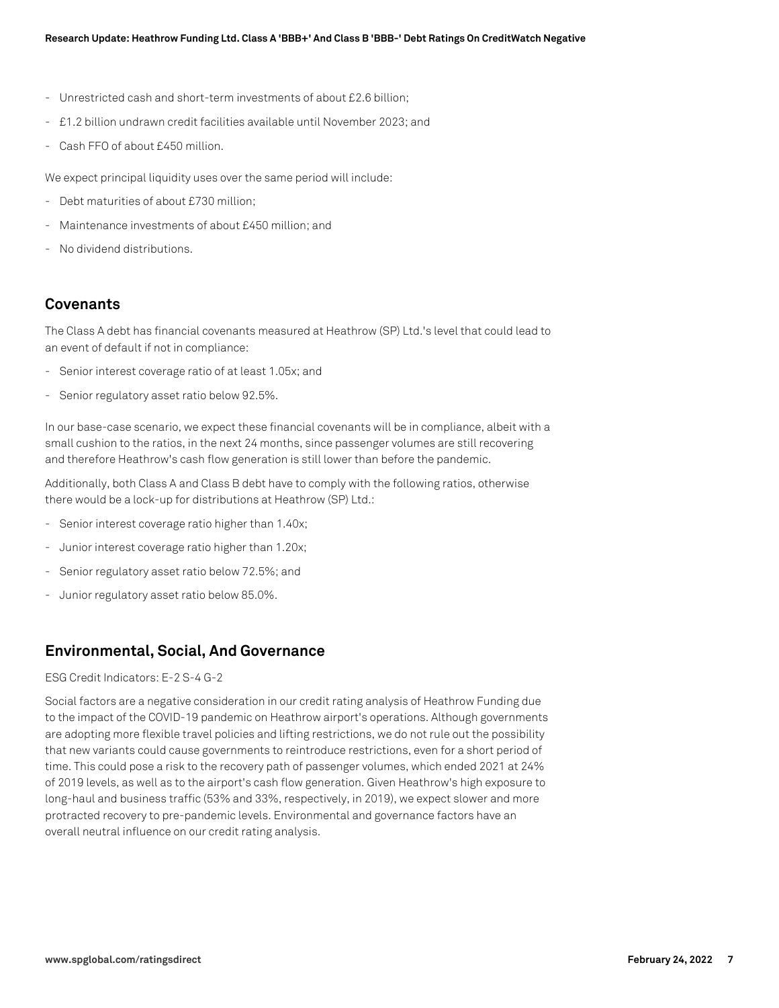- Unrestricted cash and short-term investments of about £2.6 billion;
- £1.2 billion undrawn credit facilities available until November 2023; and
- Cash FFO of about £450 million.

We expect principal liquidity uses over the same period will include:

- Debt maturities of about £730 million;
- Maintenance investments of about £450 million; and
- No dividend distributions.

### **Covenants**

The Class A debt has financial covenants measured at Heathrow (SP) Ltd.'s level that could lead to an event of default if not in compliance:

- Senior interest coverage ratio of at least 1.05x; and
- Senior regulatory asset ratio below 92.5%.

In our base-case scenario, we expect these financial covenants will be in compliance, albeit with a small cushion to the ratios, in the next 24 months, since passenger volumes are still recovering and therefore Heathrow's cash flow generation is still lower than before the pandemic.

Additionally, both Class A and Class B debt have to comply with the following ratios, otherwise there would be a lock-up for distributions at Heathrow (SP) Ltd.:

- Senior interest coverage ratio higher than 1.40x;
- Junior interest coverage ratio higher than 1.20x;
- Senior regulatory asset ratio below 72.5%; and
- Junior regulatory asset ratio below 85.0%.

# **Environmental, Social, And Governance**

### ESG Credit Indicators: E-2 S-4 G-2

Social factors are a negative consideration in our credit rating analysis of Heathrow Funding due to the impact of the COVID-19 pandemic on Heathrow airport's operations. Although governments are adopting more flexible travel policies and lifting restrictions, we do not rule out the possibility that new variants could cause governments to reintroduce restrictions, even for a short period of time. This could pose a risk to the recovery path of passenger volumes, which ended 2021 at 24% of 2019 levels, as well as to the airport's cash flow generation. Given Heathrow's high exposure to long-haul and business traffic (53% and 33%, respectively, in 2019), we expect slower and more protracted recovery to pre-pandemic levels. Environmental and governance factors have an overall neutral influence on our credit rating analysis.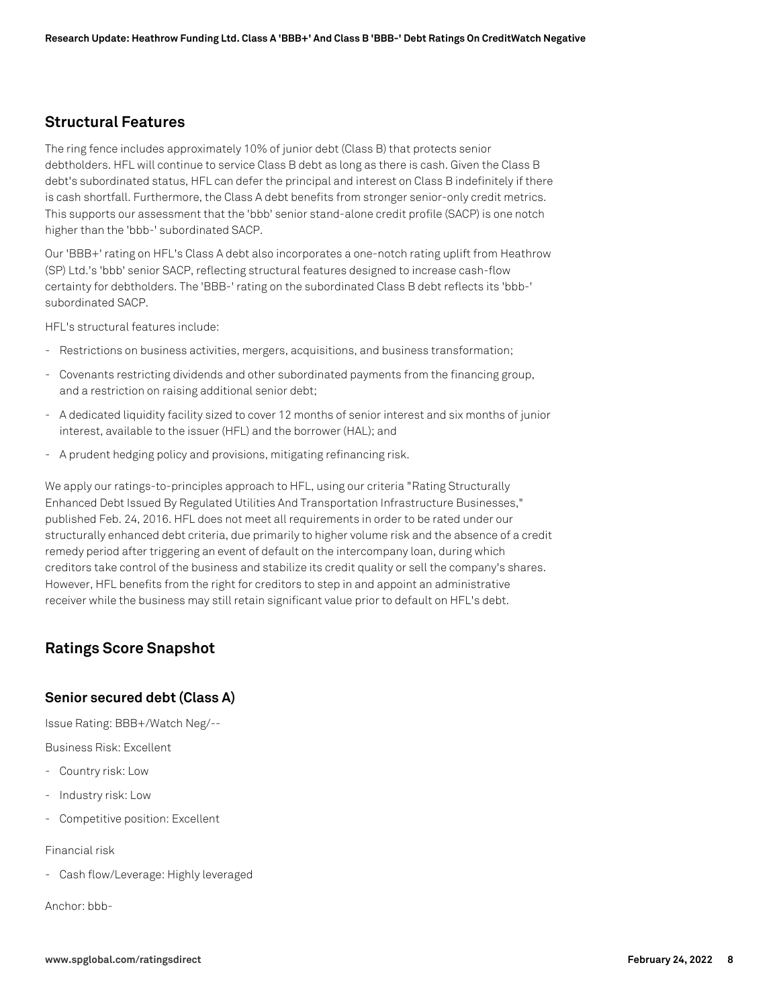### **Structural Features**

The ring fence includes approximately 10% of junior debt (Class B) that protects senior debtholders. HFL will continue to service Class B debt as long as there is cash. Given the Class B debt's subordinated status, HFL can defer the principal and interest on Class B indefinitely if there is cash shortfall. Furthermore, the Class A debt benefits from stronger senior-only credit metrics. This supports our assessment that the 'bbb' senior stand-alone credit profile (SACP) is one notch higher than the 'bbb-' subordinated SACP.

Our 'BBB+' rating on HFL's Class A debt also incorporates a one-notch rating uplift from Heathrow (SP) Ltd.'s 'bbb' senior SACP, reflecting structural features designed to increase cash-flow certainty for debtholders. The 'BBB-' rating on the subordinated Class B debt reflects its 'bbb-' subordinated SACP.

HFL's structural features include:

- Restrictions on business activities, mergers, acquisitions, and business transformation;
- Covenants restricting dividends and other subordinated payments from the financing group, and a restriction on raising additional senior debt;
- A dedicated liquidity facility sized to cover 12 months of senior interest and six months of junior interest, available to the issuer (HFL) and the borrower (HAL); and
- A prudent hedging policy and provisions, mitigating refinancing risk.

We apply our ratings-to-principles approach to HFL, using our criteria "Rating Structurally Enhanced Debt Issued By Regulated Utilities And Transportation Infrastructure Businesses," published Feb. 24, 2016. HFL does not meet all requirements in order to be rated under our structurally enhanced debt criteria, due primarily to higher volume risk and the absence of a credit remedy period after triggering an event of default on the intercompany loan, during which creditors take control of the business and stabilize its credit quality or sell the company's shares. However, HFL benefits from the right for creditors to step in and appoint an administrative receiver while the business may still retain significant value prior to default on HFL's debt.

# **Ratings Score Snapshot**

### **Senior secured debt (Class A)**

Issue Rating: BBB+/Watch Neg/--

Business Risk: Excellent

- Country risk: Low
- Industry risk: Low
- Competitive position: Excellent

Financial risk

- Cash flow/Leverage: Highly leveraged

Anchor: bbb-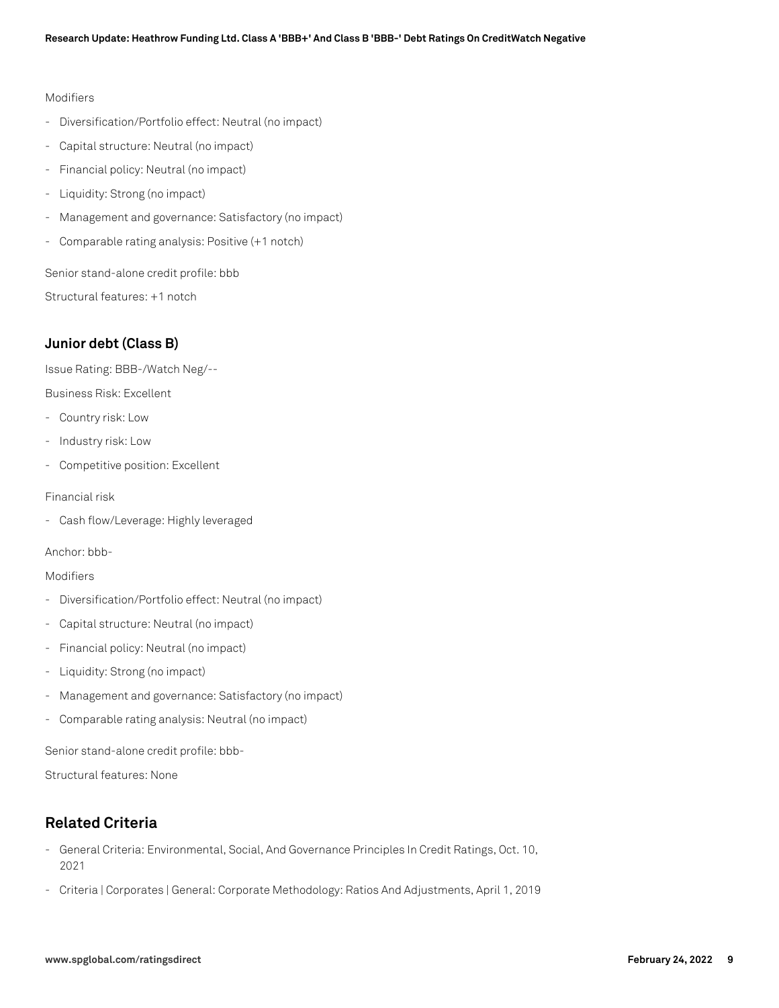### Modifiers

- Diversification/Portfolio effect: Neutral (no impact)
- Capital structure: Neutral (no impact)
- Financial policy: Neutral (no impact)
- Liquidity: Strong (no impact)
- Management and governance: Satisfactory (no impact)
- Comparable rating analysis: Positive (+1 notch)

Senior stand-alone credit profile: bbb

Structural features: +1 notch

# **Junior debt (Class B)**

Issue Rating: BBB-/Watch Neg/--

Business Risk: Excellent

- Country risk: Low
- Industry risk: Low
- Competitive position: Excellent

Financial risk

- Cash flow/Leverage: Highly leveraged

Anchor: bbb-

### Modifiers

- Diversification/Portfolio effect: Neutral (no impact)
- Capital structure: Neutral (no impact)
- Financial policy: Neutral (no impact)
- Liquidity: Strong (no impact)
- Management and governance: Satisfactory (no impact)
- Comparable rating analysis: Neutral (no impact)

Senior stand-alone credit profile: bbb-

Structural features: None

# **Related Criteria**

- General Criteria: Environmental, Social, And Governance Principles In Credit Ratings, Oct. 10, 2021
- Criteria | Corporates | General: Corporate Methodology: Ratios And Adjustments, April 1, 2019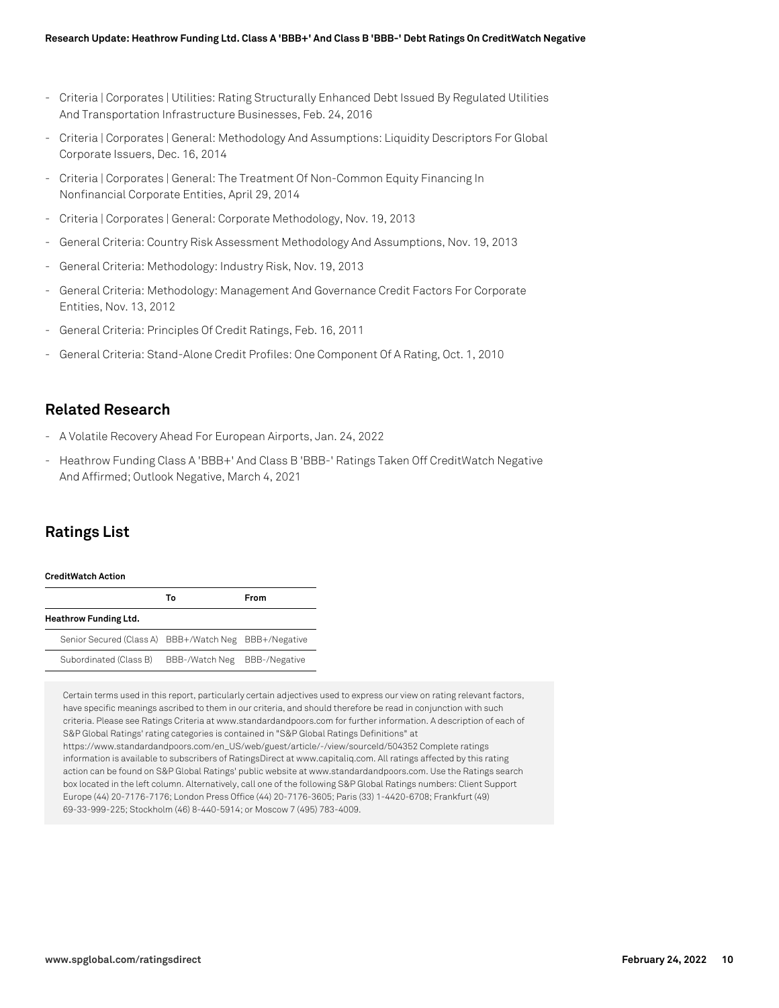- Criteria | Corporates | Utilities: Rating Structurally Enhanced Debt Issued By Regulated Utilities And Transportation Infrastructure Businesses, Feb. 24, 2016
- Criteria | Corporates | General: Methodology And Assumptions: Liquidity Descriptors For Global Corporate Issuers, Dec. 16, 2014
- Criteria | Corporates | General: The Treatment Of Non-Common Equity Financing In Nonfinancial Corporate Entities, April 29, 2014
- Criteria | Corporates | General: Corporate Methodology, Nov. 19, 2013
- General Criteria: Country Risk Assessment Methodology And Assumptions, Nov. 19, 2013
- General Criteria: Methodology: Industry Risk, Nov. 19, 2013
- General Criteria: Methodology: Management And Governance Credit Factors For Corporate Entities, Nov. 13, 2012
- General Criteria: Principles Of Credit Ratings, Feb. 16, 2011
- General Criteria: Stand-Alone Credit Profiles: One Component Of A Rating, Oct. 1, 2010

# **Related Research**

- A Volatile Recovery Ahead For European Airports, Jan. 24, 2022
- Heathrow Funding Class A 'BBB+' And Class B 'BBB-' Ratings Taken Off CreditWatch Negative And Affirmed; Outlook Negative, March 4, 2021

# **Ratings List**

### **CreditWatch Action**

|                                                       | Т٥             | <b>From</b>          |
|-------------------------------------------------------|----------------|----------------------|
| <b>Heathrow Funding Ltd.</b>                          |                |                      |
| Senior Secured (Class A) BBB+/Watch Neg BBB+/Negative |                |                      |
| Subordinated (Class B)                                | BBB-/Watch Neg | <b>BBB-/Negative</b> |

Certain terms used in this report, particularly certain adjectives used to express our view on rating relevant factors, have specific meanings ascribed to them in our criteria, and should therefore be read in conjunction with such criteria. Please see Ratings Criteria at www.standardandpoors.com for further information. A description of each of S&P Global Ratings' rating categories is contained in "S&P Global Ratings Definitions" at https://www.standardandpoors.com/en\_US/web/guest/article/-/view/sourceId/504352 Complete ratings information is available to subscribers of RatingsDirect at www.capitaliq.com. All ratings affected by this rating action can be found on S&P Global Ratings' public website at www.standardandpoors.com. Use the Ratings search box located in the left column. Alternatively, call one of the following S&P Global Ratings numbers: Client Support Europe (44) 20-7176-7176; London Press Office (44) 20-7176-3605; Paris (33) 1-4420-6708; Frankfurt (49) 69-33-999-225; Stockholm (46) 8-440-5914; or Moscow 7 (495) 783-4009.